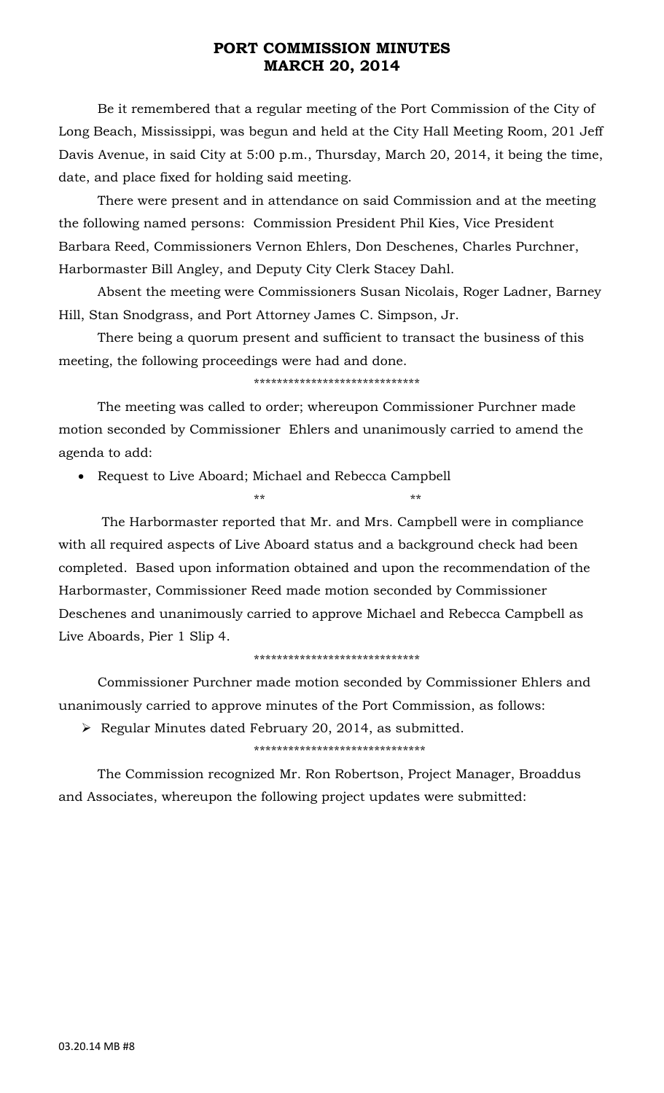Be it remembered that a regular meeting of the Port Commission of the City of Long Beach, Mississippi, was begun and held at the City Hall Meeting Room, 201 Jeff Davis Avenue, in said City at 5:00 p.m., Thursday, March 20, 2014, it being the time, date, and place fixed for holding said meeting.

 There were present and in attendance on said Commission and at the meeting the following named persons: Commission President Phil Kies, Vice President Barbara Reed, Commissioners Vernon Ehlers, Don Deschenes, Charles Purchner, Harbormaster Bill Angley, and Deputy City Clerk Stacey Dahl.

 Absent the meeting were Commissioners Susan Nicolais, Roger Ladner, Barney Hill, Stan Snodgrass, and Port Attorney James C. Simpson, Jr.

 There being a quorum present and sufficient to transact the business of this meeting, the following proceedings were had and done.

\*\*\*\*\*\*\*\*\*\*\*\*\*\*\*\*\*\*\*\*\*\*\*\*\*\*\*\*\*

\*\* \*\*

 The meeting was called to order; whereupon Commissioner Purchner made motion seconded by Commissioner Ehlers and unanimously carried to amend the agenda to add:

• Request to Live Aboard; Michael and Rebecca Campbell

 The Harbormaster reported that Mr. and Mrs. Campbell were in compliance with all required aspects of Live Aboard status and a background check had been completed. Based upon information obtained and upon the recommendation of the Harbormaster, Commissioner Reed made motion seconded by Commissioner Deschenes and unanimously carried to approve Michael and Rebecca Campbell as Live Aboards, Pier 1 Slip 4.

### \*\*\*\*\*\*\*\*\*\*\*\*\*\*\*\*\*\*\*\*\*\*\*\*\*\*\*\*\*

 Commissioner Purchner made motion seconded by Commissioner Ehlers and unanimously carried to approve minutes of the Port Commission, as follows:

¾ Regular Minutes dated February 20, 2014, as submitted.

\*\*\*\*\*\*\*\*\*\*\*\*\*\*\*\*\*\*\*\*\*\*\*\*\*\*\*\*\*\*

 The Commission recognized Mr. Ron Robertson, Project Manager, Broaddus and Associates, whereupon the following project updates were submitted: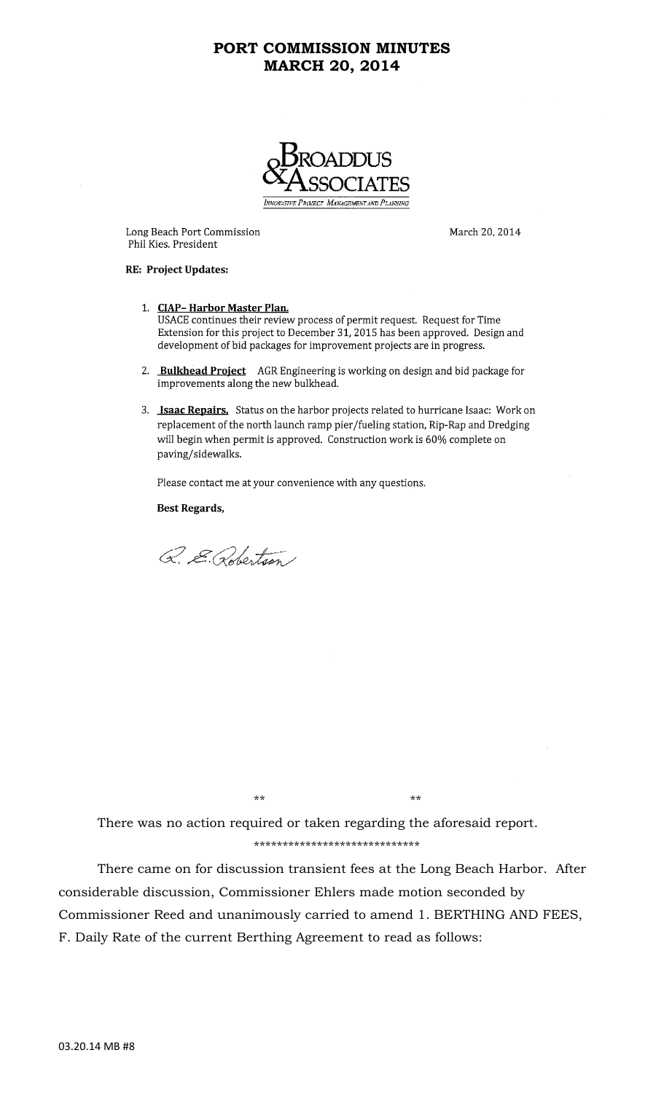

Long Beach Port Commission Phil Kies. President

March 20, 2014

#### RE: Project Updates:

- 1. CIAP-Harbor Master Plan. USACE continues their review process of permit request. Request for Time Extension for this project to December 31, 2015 has been approved. Design and development of bid packages for improvement projects are in progress.
- 2. Bulkhead Project AGR Engineering is working on design and bid package for improvements along the new bulkhead.
- 3. Isaac Repairs. Status on the harbor projects related to hurricane Isaac: Work on replacement of the north launch ramp pier/fueling station, Rip-Rap and Dredging will begin when permit is approved. Construction work is 60% complete on paving/sidewalks.

Please contact me at your convenience with any questions.

**Best Regards,** 

Q. E. Robertson

 $**$  \*\* \*\* \*\*

 There was no action required or taken regarding the aforesaid report. \*\*\*\*\*\*\*\*\*\*\*\*\*\*\*\*\*\*\*\*\*\*\*\*\*\*\*\*\*

 There came on for discussion transient fees at the Long Beach Harbor. After considerable discussion, Commissioner Ehlers made motion seconded by Commissioner Reed and unanimously carried to amend 1. BERTHING AND FEES, F. Daily Rate of the current Berthing Agreement to read as follows: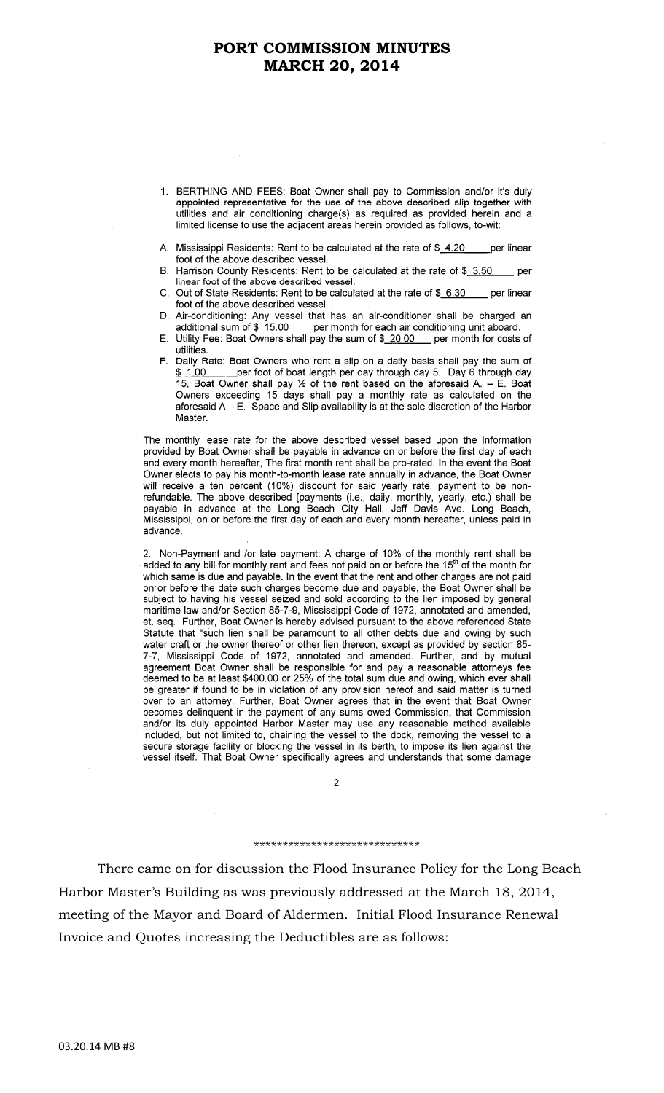- 1. BERTHING AND FEES: Boat Owner shall pay to Commission and/or it's duly appointed representative for the use of the above described slip together with utilities and air conditioning charge(s) as required as provided herein and a limited license to use the adjacent areas herein provided as follows, to-wit:
- A. Mississippi Residents: Rent to be calculated at the rate of \$\_4.20 per linear foot of the above described vessel.
- B. Harrison County Residents: Rent to be calculated at the rate of \$\_3.50 per linear foot of the above described vessel.
- C. Out of State Residents: Rent to be calculated at the rate of \$ 6.30 per linear foot of the above described vessel.
- D. Air-conditioning: Any vessel that has an air-conditioner shall be charged an additional sum of \$\_15.00 \_\_\_ per month for each air conditioning unit aboard.
- E. Utility Fee: Boat Owners shall pay the sum of \$ 20.00 per month for costs of utilities.
- F. Daily Rate: Boat Owners who rent a slip on a daily basis shall pay the sum of  $$1.00$ per foot of boat length per day through day 5. Day 6 through day 15, Boat Owner shall pay 1/2 of the rent based on the aforesaid A. - E. Boat Owners exceeding 15 days shall pay a monthly rate as calculated on the aforesaid  $A - E$ . Space and Slip availability is at the sole discretion of the Harbor Master.

The monthly lease rate for the above described vessel based upon the information provided by Boat Owner shall be payable in advance on or before the first day of each and every month hereafter, The first month rent shall be pro-rated. In the event the Boat Owner elects to pay his month-to-month lease rate annually in advance, the Boat Owner will receive a ten percent (10%) discount for said yearly rate, payment to be nonrefundable. The above described [payments (i.e., daily, monthly, yearly, etc.) shall be payable in advance at the Long Beach City Hall, Jeff Davis Ave. Long Beach, Mississippi, on or before the first day of each and every advance.

2. Non-Payment and /or late payment: A charge of 10% of the monthly rent shall be added to any bill for monthly rent and fees not paid on or before the 15<sup>th</sup> of the month for which same is due and payable. In the event that the rent and other charges are not paid on or before the date such charges become due and payable, the Boat Owner shall be subject to having his vessel seized and sold according to the lien imposed by general maritime law and/or Section 85-7-9, Mississippi Code et. seq. Further, Boat Owner is hereby advised pursuant to the above referenced State Statute that "such lien shall be paramount to all other debts due and owing by such water craft or the owner thereof or other lien thereon, except as provided by section 85-7-7, Mississippi Code of 1972, annotated and amended. Further, and by mutual agreement Boat Owner shall be responsible for and pay a reasonable attorneys fee deemed to be at least \$400.00 or 25% of the total sum due and owing, which ever shall be greater if found to be in violation of any provision hereof and said matter is turned over to an attorney. Further, Boat Owner agrees that in the event that Boat Owner becomes delinquent in the payment of any sums owed Commission, that Commission and/or its duly appointed Harbor Master may use any reasonable method available included, but not limited to, chaining the vessel to the dock, removing the vessel to a secure storage facility or blocking the vessel in its berth, to impose its lien against the vessel itself. That Boat Owner specifically agrees and understands that some damage

 $\mathfrak{p}$ 

#### \*\*\*\*\*\*\*\*\*\*\*\*\*\*\*\*\*\*\*\*\*\*\*\*\*\*\*\*\*

 There came on for discussion the Flood Insurance Policy for the Long Beach Harbor Master's Building as was previously addressed at the March 18, 2014, meeting of the Mayor and Board of Aldermen. Initial Flood Insurance Renewal Invoice and Quotes increasing the Deductibles are as follows: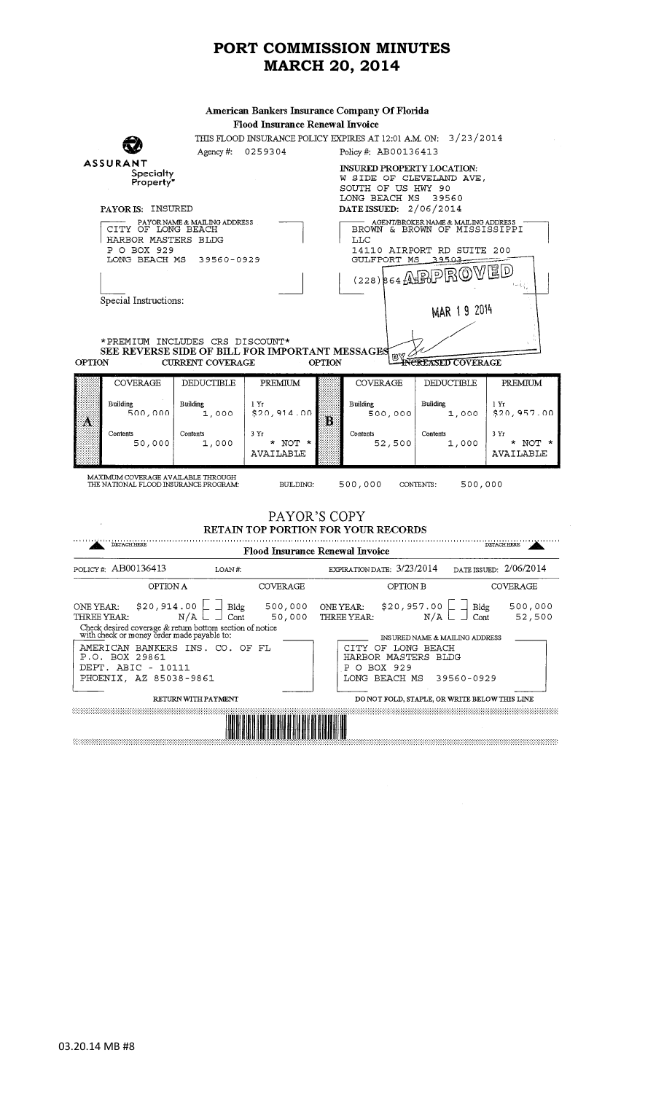| American Bankers Insurance Company Of Florida                                                                           |                                      |                                                                                                                               |                                        |               |                                                                                                                                                                 |                                                       |                               |  |  |
|-------------------------------------------------------------------------------------------------------------------------|--------------------------------------|-------------------------------------------------------------------------------------------------------------------------------|----------------------------------------|---------------|-----------------------------------------------------------------------------------------------------------------------------------------------------------------|-------------------------------------------------------|-------------------------------|--|--|
| <b>Flood Insurance Renewal Invoice</b>                                                                                  |                                      |                                                                                                                               |                                        |               |                                                                                                                                                                 |                                                       |                               |  |  |
| THIS FLOOD INSURANCE POLICY EXPIRES AT 12:01 A.M. ON: 3/23/2014                                                         |                                      |                                                                                                                               |                                        |               |                                                                                                                                                                 |                                                       |                               |  |  |
|                                                                                                                         |                                      | Agency $#$ :                                                                                                                  | 0259304                                |               | Policy #: AB00136413                                                                                                                                            |                                                       |                               |  |  |
| ASSURANT<br>Specialty<br>Property"                                                                                      |                                      |                                                                                                                               |                                        |               | <b>INSURED PROPERTY LOCATION:</b><br>W SIDE OF CLEVELAND AVE,<br>SOUTH OF US HWY 90<br>LONG BEACH MS<br>39560                                                   |                                                       |                               |  |  |
|                                                                                                                         | PAYOR IS: INSURED                    |                                                                                                                               |                                        |               | DATE ISSUED: $2/06/2014$                                                                                                                                        |                                                       |                               |  |  |
| PAYOR NAME & MAILING ADDRESS<br>CITY OF LONG BEACH<br>HARBOR MASTERS BLDG<br>P O BOX 929<br>LONG BEACH MS<br>39560-0929 |                                      |                                                                                                                               |                                        |               | AGENT/BROKER NAME & MAILING ADDRESS<br>BROWN & BROWN OF MISSISSIPPI<br>LLC<br>14110 AIRPORT RD SUITE 200<br>GULFPORT MS<br>39503<br> 冨 D<br>$(228)$ $64$ ASPPRO |                                                       |                               |  |  |
|                                                                                                                         |                                      |                                                                                                                               |                                        |               |                                                                                                                                                                 |                                                       |                               |  |  |
|                                                                                                                         | Special Instructions:                |                                                                                                                               |                                        |               |                                                                                                                                                                 | MAR 19 2014                                           |                               |  |  |
|                                                                                                                         |                                      | * PREMIUM INCLUDES CRS DISCOUNT*                                                                                              |                                        |               |                                                                                                                                                                 |                                                       |                               |  |  |
|                                                                                                                         |                                      | SEE REVERSE SIDE OF BILL FOR IMPORTANT MESSAGES                                                                               |                                        |               | BY                                                                                                                                                              |                                                       |                               |  |  |
| <b>OPTION</b>                                                                                                           |                                      | <b>CURRENT COVERAGE</b>                                                                                                       |                                        | <b>OPTION</b> |                                                                                                                                                                 | <b>INCREASED COVERAGE</b>                             |                               |  |  |
|                                                                                                                         | COVERAGE                             | DEDUCTIBLE                                                                                                                    | PREMIUM                                |               | COVERAGE                                                                                                                                                        | <b>DEDUCTIBLE</b>                                     | PREMIUM                       |  |  |
| Ä                                                                                                                       | Building<br>500,000                  | <b>Building</b><br>1,000                                                                                                      | 1Yr<br>\$20,914.00                     | Ë             | <b>Building</b><br>500,000                                                                                                                                      | Building<br>1,000                                     | 1 Yr<br>\$20,957.00           |  |  |
|                                                                                                                         | Contents<br>50,000                   | Contents<br>1,000                                                                                                             | 3Yr<br>* NOT *<br>AVAILABLE            |               | Contents<br>52,500                                                                                                                                              | Contents<br>1,000                                     | 3Yr<br>* NOT $*$<br>AVAILABLE |  |  |
|                                                                                                                         |                                      | MAXIMUM COVERAGE AVAILABLE THROUGH<br>THE NATIONAL FLOOD INSURANCE PROGRAM.                                                   | <b>BUILDING:</b>                       |               | 500,000                                                                                                                                                         | 500,000<br>CONTENTS:                                  |                               |  |  |
| PAYOR'S COPY<br><b>RETAIN TOP PORTION FOR YOUR RECORDS</b><br><b>DETACH HERE</b><br><b>DETACH HERE</b>                  |                                      |                                                                                                                               |                                        |               |                                                                                                                                                                 |                                                       |                               |  |  |
|                                                                                                                         |                                      |                                                                                                                               | <b>Flood Insurance Renewal Invoice</b> |               |                                                                                                                                                                 |                                                       |                               |  |  |
|                                                                                                                         | POLICY#: AB00136413                  | LOAN#                                                                                                                         |                                        |               | EXPIRATION DATE: 3/23/2014                                                                                                                                      |                                                       | DATE ISSUED: 2/06/2014        |  |  |
|                                                                                                                         | OPTION A                             |                                                                                                                               | COVERAGE                               |               | OPTION B                                                                                                                                                        |                                                       | COVERAGE                      |  |  |
| ONE YEAR:<br>THREE YEAR:                                                                                                | \$20,914.00                          | Bldg<br>Cont<br>N/A<br>Check desired coverage & return bottom section of notice<br>with check or money order made payable to: | 500,000<br>50,000                      | ONE YEAR:     | \$20,957.00<br>THREE YEAR:                                                                                                                                      | Bldg<br>N/A<br>Cont<br>INSURED NAME & MAILING ADDRESS | 500,000<br>52,500             |  |  |
|                                                                                                                         | P.O. BOX 29861<br>DEPT. ABIC - 10111 | AMERICAN BANKERS INS. CO. OF FL                                                                                               |                                        |               | CITY OF LONG BEACH<br>HARBOR MASTERS BLDG<br>P O BOX 929                                                                                                        |                                                       |                               |  |  |
| LONG BEACH MS<br>PHOENIX, AZ 85038-9861<br>39560-0929                                                                   |                                      |                                                                                                                               |                                        |               |                                                                                                                                                                 |                                                       |                               |  |  |
|                                                                                                                         |                                      | <b>RETURN WITH PAYMENT</b>                                                                                                    |                                        |               |                                                                                                                                                                 | DO NOT FOLD, STAPLE, OR WRITE BELOW THIS LINE         |                               |  |  |
|                                                                                                                         |                                      |                                                                                                                               |                                        |               |                                                                                                                                                                 |                                                       |                               |  |  |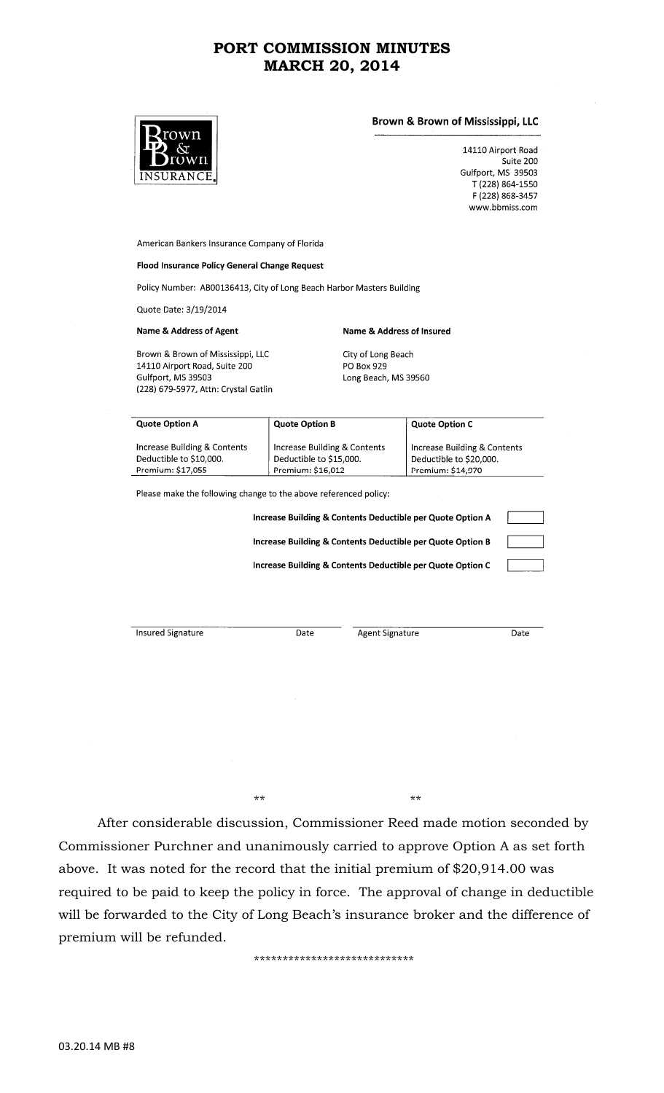

### Brown & Brown of Mississippi, LLC

14110 Airport Road Suite 200 Gulfport, MS 39503 T (228) 864-1550 F (228) 868-3457 www.bbmiss.com

American Bankers Insurance Company of Florida

#### Flood Insurance Policy General Change Request

Policy Number: AB00136413, City of Long Beach Harbor Masters Building

Quote Date: 3/19/2014

#### **Name & Address of Agent**

Brown & Brown of Mississippi, LLC 14110 Airport Road, Suite 200 Gulfport, MS 39503 (228) 679-5977, Attn: Crystal Gatlin City of Long Beach PO Box 929 Long Beach, MS 39560

Name & Address of Insured

| <b>Quote Option A</b>        | <b>Quote Option B</b>        | <b>Quote Option C</b>        |
|------------------------------|------------------------------|------------------------------|
| Increase Building & Contents | Increase Building & Contents | Increase Building & Contents |
| Deductible to \$10,000.      | Deductible to \$15,000.      | Deductible to \$20,000.      |
| Premium: \$17,055            | Premium: \$16,012            | Premium: \$14,970            |

Please make the following change to the above referenced policy:

 $**$  \*\* \*\* \*\*

Increase Building & Contents Deductible per Quote Option A Increase Building & Contents Deductible per Quote Option B Increase Building & Contents Deductible per Quote Option C

**Insured Signature** 

Date

Agent Signature

Date

 After considerable discussion, Commissioner Reed made motion seconded by Commissioner Purchner and unanimously carried to approve Option A as set forth above. It was noted for the record that the initial premium of \$20,914.00 was required to be paid to keep the policy in force. The approval of change in deductible will be forwarded to the City of Long Beach's insurance broker and the difference of premium will be refunded.

\*\*\*\*\*\*\*\*\*\*\*\*\*\*\*\*\*\*\*\*\*\*\*\*\*\*\*\*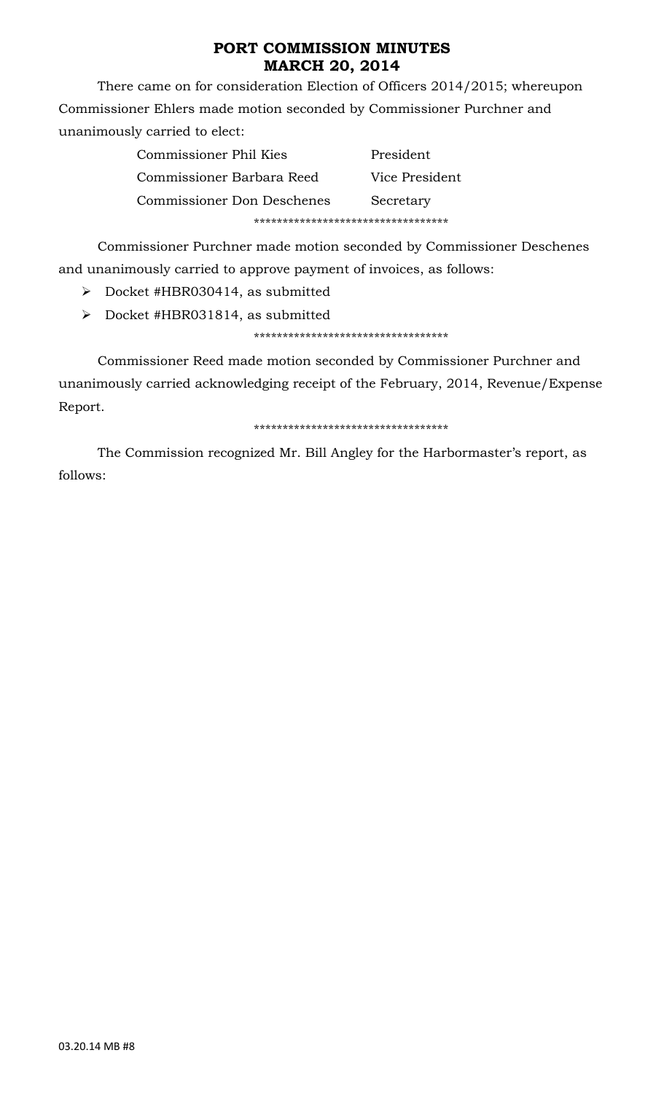There came on for consideration Election of Officers 2014/2015; whereupon Commissioner Ehlers made motion seconded by Commissioner Purchner and unanimously carried to elect:

| Commissioner Phil Kies            | President      |  |  |
|-----------------------------------|----------------|--|--|
| Commissioner Barbara Reed         | Vice President |  |  |
| <b>Commissioner Don Deschenes</b> | Secretary      |  |  |
|                                   |                |  |  |

 Commissioner Purchner made motion seconded by Commissioner Deschenes and unanimously carried to approve payment of invoices, as follows:

¾ Docket #HBR030414, as submitted

¾ Docket #HBR031814, as submitted

\*\*\*\*\*\*\*\*\*\*\*\*\*\*\*\*\*\*\*\*\*\*\*\*\*\*\*\*\*\*\*\*\*\*

 Commissioner Reed made motion seconded by Commissioner Purchner and unanimously carried acknowledging receipt of the February, 2014, Revenue/Expense Report.

### \*\*\*\*\*\*\*\*\*\*\*\*\*\*\*\*\*\*\*\*\*\*\*\*\*\*\*\*\*\*\*\*\*\*

 The Commission recognized Mr. Bill Angley for the Harbormaster's report, as follows: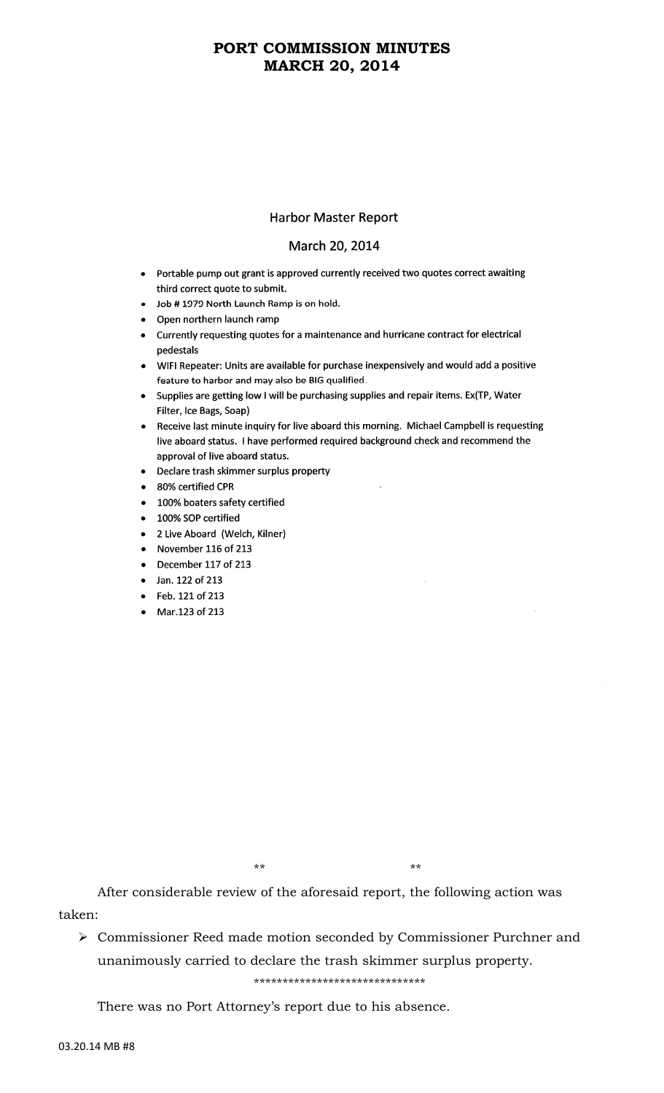### **Harbor Master Report**

### March 20, 2014

- Portable pump out grant is approved currently received two quotes correct awaiting third correct quote to submit.
- Job #1979 North Launch Ramp is on hold.
- Open northern launch ramp
- Currently requesting quotes for a maintenance and hurricane contract for electrical pedestals
- WIFI Repeater: Units are available for purchase inexpensively and would add a positive feature to harbor and may also be BIG qualified.
- Supplies are getting low I will be purchasing supplies and repair items. Ex(TP, Water Filter, Ice Bags, Soap)
- Receive last minute inquiry for live aboard this morning. Michael Campbell is requesting live aboard status. I have performed required background check and recommend the approval of live aboard status.
- Declare trash skimmer surplus property
- 80% certified CPR
- 100% boaters safety certified
- 100% SOP certified
- 2 Live Aboard (Welch, Kilner)
- November 116 of 213
- December 117 of 213
- Jan. 122 of 213
- Feb. 121 of 213
- Mar.123 of 213

 $**$  \*\* \*\* \*\*

 After considerable review of the aforesaid report, the following action was taken:

¾ Commissioner Reed made motion seconded by Commissioner Purchner and unanimously carried to declare the trash skimmer surplus property.

\*\*\*\*\*\*\*\*\*\*\*\*\*\*\*\*\*\*\*\*\*\*\*\*\*\*\*\*\*\*

There was no Port Attorney's report due to his absence.